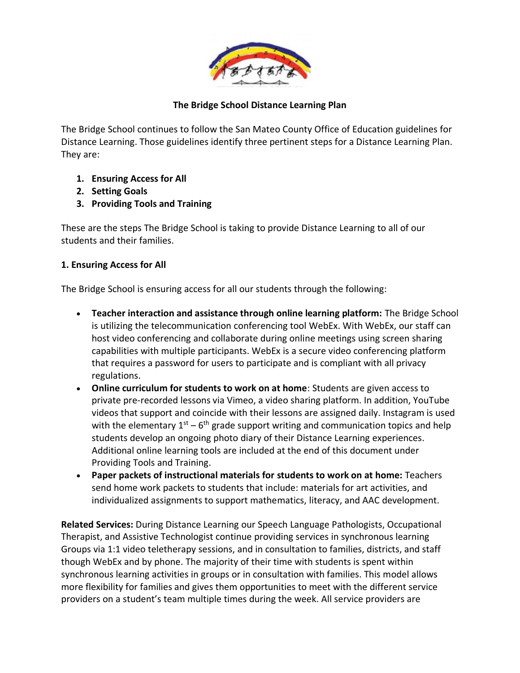

The Bridge School continues to follow the San Mateo County Office of Education guidelines for Distance Learning. Those guidelines identify three pertinent steps for a Distance Learning Plan. They are:

- **1. Ensuring Access for All**
- **2. Setting Goals**
- **3. Providing Tools and Training**

These are the steps The Bridge School is taking to provide Distance Learning to all of our students and their families.

## **1. Ensuring Access for All**

The Bridge School is ensuring access for all our students through the following:

- **Teacher interaction and assistance through online learning platform:** The Bridge School is utilizing the telecommunication conferencing tool WebEx. With WebEx, our staff can host video conferencing and collaborate during online meetings using screen sharing capabilities with multiple participants. WebEx is a secure video conferencing platform that requires a password for users to participate and is compliant with all privacy regulations.
- **Online curriculum for students to work on at home**: Students are given access to private pre-recorded lessons via Vimeo, a video sharing platform. In addition, YouTube videos that support and coincide with their lessons are assigned daily. Instagram is used with the elementary  $1<sup>st</sup> - 6<sup>th</sup>$  grade support writing and communication topics and help students develop an ongoing photo diary of their Distance Learning experiences. Additional online learning tools are included at the end of this document under Providing Tools and Training.
- **Paper packets of instructional materials for students to work on at home:** Teachers send home work packets to students that include: materials for art activities, and individualized assignments to support mathematics, literacy, and AAC development.

**Related Services:** During Distance Learning our Speech Language Pathologists, Occupational Therapist, and Assistive Technologist continue providing services in synchronous learning Groups via 1:1 video teletherapy sessions, and in consultation to families, districts, and staff though WebEx and by phone. The majority of their time with students is spent within synchronous learning activities in groups or in consultation with families. This model allows more flexibility for families and gives them opportunities to meet with the different service providers on a student's team multiple times during the week. All service providers are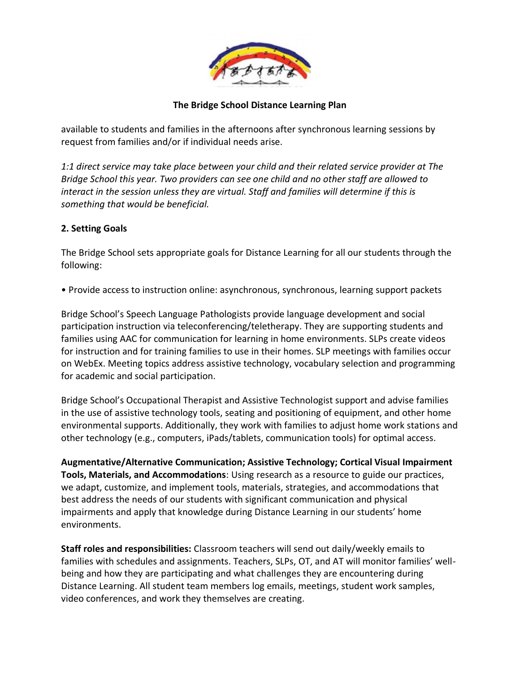

available to students and families in the afternoons after synchronous learning sessions by request from families and/or if individual needs arise.

*1:1 direct service may take place between your child and their related service provider at The Bridge School this year. Two providers can see one child and no other staff are allowed to interact in the session unless they are virtual. Staff and families will determine if this is something that would be beneficial.*

## **2. Setting Goals**

The Bridge School sets appropriate goals for Distance Learning for all our students through the following:

• Provide access to instruction online: asynchronous, synchronous, learning support packets

Bridge School's Speech Language Pathologists provide language development and social participation instruction via teleconferencing/teletherapy. They are supporting students and families using AAC for communication for learning in home environments. SLPs create videos for instruction and for training families to use in their homes. SLP meetings with families occur on WebEx. Meeting topics address assistive technology, vocabulary selection and programming for academic and social participation.

Bridge School's Occupational Therapist and Assistive Technologist support and advise families in the use of assistive technology tools, seating and positioning of equipment, and other home environmental supports. Additionally, they work with families to adjust home work stations and other technology (e.g., computers, iPads/tablets, communication tools) for optimal access.

**Augmentative/Alternative Communication; Assistive Technology; Cortical Visual Impairment Tools, Materials, and Accommodations**: Using research as a resource to guide our practices, we adapt, customize, and implement tools, materials, strategies, and accommodations that best address the needs of our students with significant communication and physical impairments and apply that knowledge during Distance Learning in our students' home environments.

**Staff roles and responsibilities:** Classroom teachers will send out daily/weekly emails to families with schedules and assignments. Teachers, SLPs, OT, and AT will monitor families' wellbeing and how they are participating and what challenges they are encountering during Distance Learning. All student team members log emails, meetings, student work samples, video conferences, and work they themselves are creating.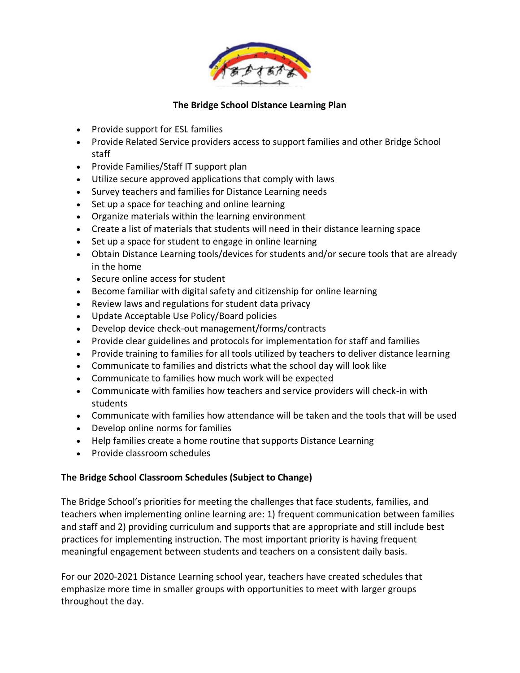

- Provide support for ESL families
- Provide Related Service providers access to support families and other Bridge School staff
- Provide Families/Staff IT support plan
- Utilize secure approved applications that comply with laws
- Survey teachers and families for Distance Learning needs
- Set up a space for teaching and online learning
- Organize materials within the learning environment
- Create a list of materials that students will need in their distance learning space
- Set up a space for student to engage in online learning
- Obtain Distance Learning tools/devices for students and/or secure tools that are already in the home
- Secure online access for student
- Become familiar with digital safety and citizenship for online learning
- Review laws and regulations for student data privacy
- Update Acceptable Use Policy/Board policies
- Develop device check-out management/forms/contracts
- Provide clear guidelines and protocols for implementation for staff and families
- Provide training to families for all tools utilized by teachers to deliver distance learning
- Communicate to families and districts what the school day will look like
- Communicate to families how much work will be expected
- Communicate with families how teachers and service providers will check-in with students
- Communicate with families how attendance will be taken and the tools that will be used
- Develop online norms for families
- Help families create a home routine that supports Distance Learning
- Provide classroom schedules

#### **The Bridge School Classroom Schedules (Subject to Change)**

The Bridge School's priorities for meeting the challenges that face students, families, and teachers when implementing online learning are: 1) frequent communication between families and staff and 2) providing curriculum and supports that are appropriate and still include best practices for implementing instruction. The most important priority is having frequent meaningful engagement between students and teachers on a consistent daily basis.

For our 2020-2021 Distance Learning school year, teachers have created schedules that emphasize more time in smaller groups with opportunities to meet with larger groups throughout the day.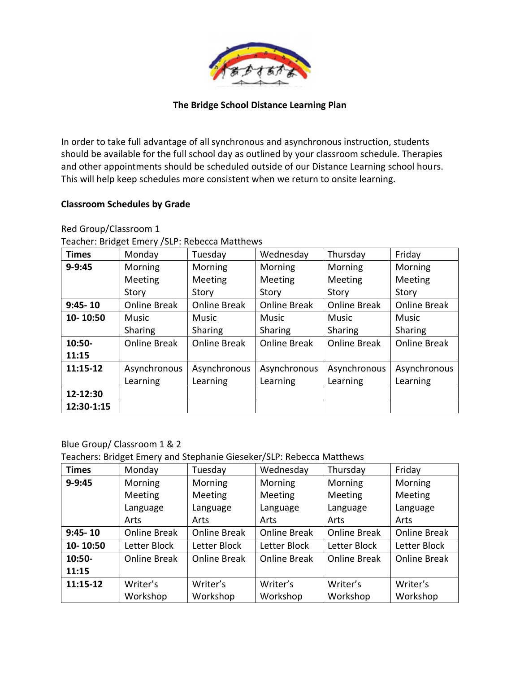

In order to take full advantage of all synchronous and asynchronous instruction, students should be available for the full school day as outlined by your classroom schedule. Therapies and other appointments should be scheduled outside of our Distance Learning school hours. This will help keep schedules more consistent when we return to onsite learning.

#### **Classroom Schedules by Grade**

Red Group/Classroom 1

|  |  | Teacher: Bridget Emery / SLP: Rebecca Matthews |
|--|--|------------------------------------------------|
|  |  |                                                |

| <b>Times</b> | Monday              | Tuesday             | Wednesday           | Thursday            | Friday              |
|--------------|---------------------|---------------------|---------------------|---------------------|---------------------|
| $9 - 9:45$   | Morning             | Morning             | Morning             | Morning             | Morning             |
|              | Meeting             | Meeting             | Meeting             | Meeting             | Meeting             |
|              | Story               | Story               | Story               | Story               | Story               |
| $9:45 - 10$  | <b>Online Break</b> | <b>Online Break</b> | <b>Online Break</b> | <b>Online Break</b> | <b>Online Break</b> |
| 10-10:50     | Music               | <b>Music</b>        | <b>Music</b>        | <b>Music</b>        | <b>Music</b>        |
|              | Sharing             | Sharing             | Sharing             | Sharing             | Sharing             |
| $10:50-$     | <b>Online Break</b> | <b>Online Break</b> | <b>Online Break</b> | Online Break        | <b>Online Break</b> |
| 11:15        |                     |                     |                     |                     |                     |
| 11:15-12     | Asynchronous        | Asynchronous        | Asynchronous        | Asynchronous        | Asynchronous        |
|              | Learning            | Learning            | Learning            | Learning            | Learning            |
| 12-12:30     |                     |                     |                     |                     |                     |
| 12:30-1:15   |                     |                     |                     |                     |                     |

#### Blue Group/ Classroom 1 & 2

Teachers: Bridget Emery and Stephanie Gieseker/SLP: Rebecca Matthews

| <b>Times</b> | Monday       | Tuesday             | Wednesday           | Thursday            | Friday              |
|--------------|--------------|---------------------|---------------------|---------------------|---------------------|
| $9 - 9:45$   | Morning      | Morning             | Morning             | Morning             | Morning             |
|              | Meeting      | Meeting             | Meeting             | Meeting             | Meeting             |
|              | Language     | Language            | Language            | Language            | Language            |
|              | Arts         | Arts                | Arts                | Arts                | Arts                |
| $9:45 - 10$  | Online Break | <b>Online Break</b> | <b>Online Break</b> | <b>Online Break</b> | <b>Online Break</b> |
| 10-10:50     | Letter Block | Letter Block        | Letter Block        | Letter Block        | Letter Block        |
| $10:50-$     | Online Break | <b>Online Break</b> | <b>Online Break</b> | <b>Online Break</b> | <b>Online Break</b> |
| 11:15        |              |                     |                     |                     |                     |
| 11:15-12     | Writer's     | Writer's            | Writer's            | Writer's            | Writer's            |
|              | Workshop     | Workshop            | Workshop            | Workshop            | Workshop            |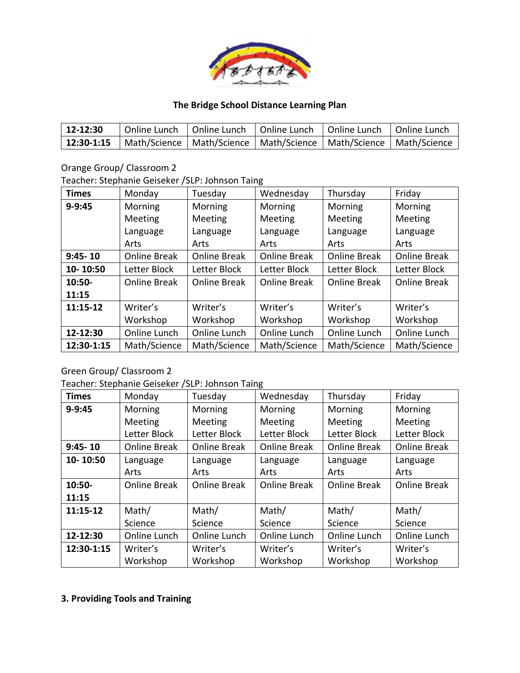

| $ 12 - 12:30 $ | Online Lunch   Online Lunch   Online Lunch   Online Lunch   Online Lunch |  |  |
|----------------|--------------------------------------------------------------------------|--|--|
| $12:30-1:15$   | Math/Science   Math/Science   Math/Science   Math/Science   Math/Science |  |  |

Orange Group/ Classroom 2

Teacher: Stephanie Geiseker /SLP: Johnson Taing

| <b>Times</b> | Monday       | Tuesday             | Wednesday           | Thursday            | Friday              |
|--------------|--------------|---------------------|---------------------|---------------------|---------------------|
| $9 - 9:45$   | Morning      | Morning             | Morning             | Morning             | Morning             |
|              | Meeting      | Meeting             | Meeting             | Meeting             | Meeting             |
|              | Language     | Language            | Language            | Language            | Language            |
|              | Arts         | Arts                | Arts                | Arts                | Arts                |
| $9:45 - 10$  | Online Break | <b>Online Break</b> | <b>Online Break</b> | <b>Online Break</b> | <b>Online Break</b> |
| 10-10:50     | Letter Block | Letter Block        | Letter Block        | Letter Block        | Letter Block        |
| $10:50-$     | Online Break | <b>Online Break</b> | <b>Online Break</b> | <b>Online Break</b> | <b>Online Break</b> |
| 11:15        |              |                     |                     |                     |                     |
| 11:15-12     | Writer's     | Writer's            | Writer's            | Writer's            | Writer's            |
|              | Workshop     | Workshop            | Workshop            | Workshop            | Workshop            |
| 12-12:30     | Online Lunch | Online Lunch        | Online Lunch        | Online Lunch        | Online Lunch        |
| 12:30-1:15   | Math/Science | Math/Science        | Math/Science        | Math/Science        | Math/Science        |

# Green Group/ Classroom 2

Teacher: Stephanie Geiseker /SLP: Johnson Taing

| <b>Times</b> | Monday       | Tuesday             | Wednesday           | Thursday            | Friday              |
|--------------|--------------|---------------------|---------------------|---------------------|---------------------|
| $9 - 9:45$   | Morning      | Morning             | Morning             | Morning             | Morning             |
|              | Meeting      | Meeting             | Meeting             | Meeting             | Meeting             |
|              | Letter Block | Letter Block        | Letter Block        | Letter Block        | Letter Block        |
| $9:45 - 10$  | Online Break | <b>Online Break</b> | <b>Online Break</b> | <b>Online Break</b> | <b>Online Break</b> |
| 10-10:50     | Language     | Language            | Language            | Language            | Language            |
|              | Arts         | Arts                | Arts                | Arts                | Arts                |
| 10:50-       | Online Break | <b>Online Break</b> | <b>Online Break</b> | <b>Online Break</b> | <b>Online Break</b> |
| 11:15        |              |                     |                     |                     |                     |
| 11:15-12     | Math/        | Math/               | Math/               | Math/               | Math/               |
|              | Science      | Science             | Science             | Science             | Science             |
| 12-12:30     | Online Lunch | Online Lunch        | Online Lunch        | Online Lunch        | Online Lunch        |
| 12:30-1:15   | Writer's     | Writer's            | Writer's            | Writer's            | Writer's            |
|              | Workshop     | Workshop            | Workshop            | Workshop            | Workshop            |

## **3. Providing Tools and Training**